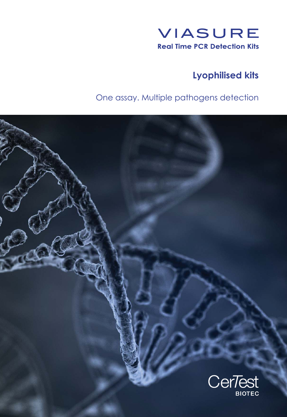

# **Lyophilised kits**

# One assay. Multiple pathogens detection

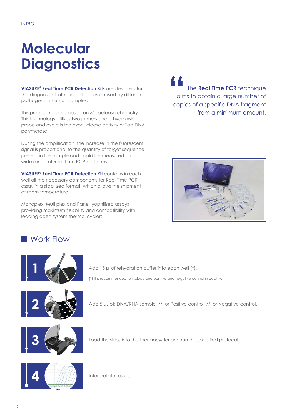# **Molecular Diagnostics**

**VIASURE<sup>®</sup> Real Time PCR Detection Kits** are designed for the diagnosis of infectious diseases caused by different pathogens in human samples.

This product range is based on 5' nuclease chemistry. This technology utilizes two primers and a hydrolysis probe and exploits the exonuclease activity of Taq DNA polymerase.

During the amplification, the increase in the fluorescent signal is proportional to the quantity of target sequence present in the sample and could be measured on a wide range of Real Time PCR platforms.

**VIASURE<sup>®</sup> Real Time PCR Detection Kit contains in each** well all the necessary components for Real Time PCR assay in a stabilized format, which allows the shipment at room temperature.

Monoplex, Multiplex and Panel lyophilised assays providing maximum flexibility and compatibility with leading open system thermal cyclers.

The Real Time PCR technique aims to obtain a large number of The **Real Time PCR** technique<br>aims to obtain a large number of<br>copies of a specific DNA fragment from a minimum amount.



## Work Flow



Add  $15$  µl of rehydration buffer into each well  $(*)$ .

(\*) It is recommended to include one positive and negative control in each run.



Add 5 µL of: DNA/RNA sample // or Positive control // or Negative control.



Load the strips into the thermocycler and run the specified protocol.



Interpretate results.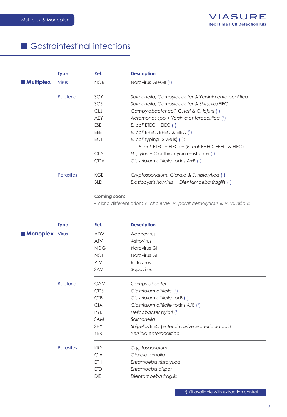## Gastrointestinal infections

|                  | <b>Type</b>      | Ref.       | <b>Description</b>                                      |
|------------------|------------------|------------|---------------------------------------------------------|
| <b>Multiplex</b> | Virus            | NOR        | Norovirus GI+GII $(')$                                  |
|                  | <b>Bacteria</b>  | <b>SCY</b> | Salmonella, Campylobacter & Yersinia enterocolitica     |
|                  |                  | SCS        | Salmonella, Campylobacter & Shigella/EIEC               |
|                  |                  | <b>CLJ</b> | Campylobacter coli, C. Iari & C. jejuni (1)             |
|                  |                  | <b>AEY</b> | Aeromonas spp + Yersinia enterocolitica (1)             |
|                  |                  | ESE        | E. coli ETEC + EIEC $(1)$                               |
|                  |                  | EEE.       | E. coli EHEC, EPEC & EIEC $(1)$                         |
|                  |                  | <b>ECT</b> | E. coli typing $(2 \text{ wells})$ $(1)$ :              |
|                  |                  |            | $(E. coli$ ETEC + EIEC) + $(E. coli$ EHEC, EPEC & EIEC) |
|                  |                  | <b>CLA</b> | H. pylori + Clarithromycin resistance $(1)$             |
|                  |                  | <b>CDA</b> | Clostridium difficile toxins $A+B$ $(1)$                |
|                  | <b>Parasites</b> | KGE        | Cryptosporidium, Giardia & E. histolytica (1)           |
|                  |                  | <b>BLD</b> | Blastocystis hominis + Dientamoeba fragilis (1)         |

#### Coming soon:

- Vibrio differentiation: V. cholerae, V. parahaemolyticus & V. vulnificus

|                       | <b>Type</b>     | Ref.       | <b>Description</b>                              |
|-----------------------|-----------------|------------|-------------------------------------------------|
| <b>Monoplex</b> Virus |                 | ADV        | Adenovirus                                      |
|                       |                 | <b>ATV</b> | Astrovirus                                      |
|                       |                 | <b>NOG</b> | Norovirus GI                                    |
|                       |                 | <b>NOP</b> | Norovirus GII                                   |
|                       |                 | <b>RTV</b> | Rotavirus                                       |
|                       |                 | SAV        | Sapovirus                                       |
|                       | <b>Bacteria</b> | <b>CAM</b> | Campylobacter                                   |
|                       |                 | <b>CDS</b> | Clostridium difficile (1)                       |
|                       |                 | CTB        | Clostridium difficile toxB (1)                  |
|                       |                 | <b>CIA</b> | Clostridium difficile toxins A/B (1)            |
|                       |                 | <b>PYR</b> | Helicobacter pylori (1)                         |
|                       |                 | SAM        | Salmonella                                      |
|                       |                 | <b>SHY</b> | Shigella/EIEC (Enteroinvasive Escherichia coli) |
|                       |                 | <b>YER</b> | Yersinia enterocolitica                         |
|                       | Parasites       | <b>KRY</b> | Cryptosporidium                                 |
|                       |                 | <b>GIA</b> | Giardia lamblia                                 |
|                       |                 | <b>ETH</b> | Entamoeba histolytica                           |
|                       |                 | <b>ETD</b> | Entamoeba dispar                                |
|                       |                 | <b>DIE</b> | Dientamoeba fragilis                            |
|                       |                 |            |                                                 |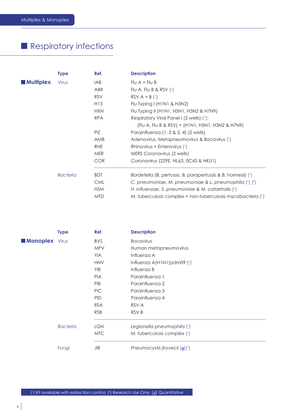# Respiratory infections

|                  | <b>Type</b>     | Ref.            | <b>Description</b>                                              |
|------------------|-----------------|-----------------|-----------------------------------------------------------------|
| <b>Multiplex</b> | Virus           | IAB             | $Flu A + Flu B$                                                 |
|                  |                 | ABR             | Flu A, Flu B & RSV $(1)$                                        |
|                  |                 | <b>RSV</b>      | $RSV A + B$ (1)                                                 |
|                  |                 | H <sub>13</sub> | Flu Typing I (HINI & H3N2)                                      |
|                  |                 | <b>HXN</b>      | Flu Typing II (H1N1, H5N1, H3N2 & H7N9)                         |
|                  |                 | <b>RPA</b>      | Respiratory Viral Panel I (2 wells) (1):                        |
|                  |                 |                 | (Flu A, Flu B & RSV) + (H1N1, H5N1, H3N2 & H7N9)                |
|                  |                 | PIZ             | Parainfluenza (1, 3 & 2, 4) (2 wells)                           |
|                  |                 | AMB             | Adenovirus, Metapneumovirus & Bocavirus (1)                     |
|                  |                 | <b>RHE</b>      | Rhinovirus + Enterovirus (1)                                    |
|                  |                 | <b>MER</b>      | MERS Coronavirus (2 wells)                                      |
|                  |                 | <b>COR</b>      | Coronavirus (229E, NL63, 0C43 & HKU1)                           |
|                  | <b>Bacteria</b> | <b>BDT</b>      | Bordetella (B. pertussis, B. parapertussis & B. holmesii) $(1)$ |
|                  |                 | <b>CML</b>      | C. pneumoniae, M. pneumoniae & L. pneumophila $(1)$ $(2)$       |
|                  |                 | <b>HSM</b>      | H. influenzae, S. pneumoniae & M. catarrhalis (1)               |
|                  |                 | <b>MTD</b>      | M. tuberculosis complex + non-tuberculosis mycobacteria (1)     |

|                       | <b>Type</b>     | Ref.       | <b>Description</b>               |
|-----------------------|-----------------|------------|----------------------------------|
| <b>Monoplex</b> Virus |                 | BVS.       | <b>Bocavirus</b>                 |
|                       |                 | <b>MPV</b> | Human metapneumovirus            |
|                       |                 | <b>YIA</b> | Influenza A                      |
|                       |                 | <b>HNV</b> | Influenza $A(H1N1)$ pdm09 $(1)$  |
|                       |                 | <b>YIB</b> | Influenza B                      |
|                       |                 | <b>PIA</b> | Parainfluenza 1                  |
|                       |                 | PIB        | Parainfluenza 2                  |
|                       |                 | PIC        | Parainfluenza 3                  |
|                       |                 | <b>PID</b> | Parainfluenza 4                  |
|                       |                 | <b>RSA</b> | RSV A                            |
|                       |                 | <b>RSB</b> | RSV B                            |
|                       | <b>Bacteria</b> | <b>LGN</b> | Legionella pneumophila (1)       |
|                       |                 | MTC        | M. tuberculosis complex (1)      |
|                       | Fungi           | JIR        | Pneumocystis jirovecii $(q)$ (1) |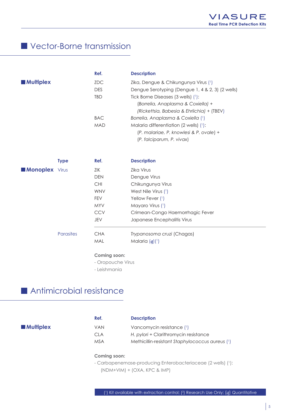## Vector-Borne transmission

|                  | Ref.       | <b>Description</b>                               |
|------------------|------------|--------------------------------------------------|
| <b>Multiplex</b> | <b>ZDC</b> | Zika, Dengue & Chikungunya Virus (1)             |
|                  | <b>DES</b> | Dengue Serotyping (Dengue 1, 4 & 2, 3) (2 wells) |
|                  | <b>TBD</b> | Tick Borne Diseases $(3 \text{ wells})$ $(1)$ :  |
|                  |            | (Borrelia, Anaplasma & Coxiella) +               |
|                  |            | (Rickettsia, Babesia & Ehrlichia) + (TBEV)       |
|                  | <b>BAC</b> | Borrelia, Anaplasma & Coxiella (1)               |
|                  | <b>MAD</b> | Malaria differentiation (2 wells) $(1)$ :        |
|                  |            | (P. malariae, P. knowlesi & P. ovale) +          |
|                  |            | (P. falciparum, P. vivax)                        |

|                       | <b>Type</b>      | Ref.       | <b>Description</b>               |
|-----------------------|------------------|------------|----------------------------------|
| <b>Monoplex</b> Virus |                  | ZIK        | Zika Virus                       |
|                       |                  | <b>DEN</b> | Dengue Virus                     |
|                       |                  | <b>CHI</b> | Chikungunya Virus                |
|                       |                  | <b>WNV</b> | West Nile Virus $(1)$            |
|                       |                  | <b>FEV</b> | Yellow Fever (1)                 |
|                       |                  | <b>MYV</b> | Mayaro Virus (1)                 |
|                       |                  | <b>CCV</b> | Crimean-Congo Haemorrhagic Fever |
|                       |                  | JEV        | Japanese Encephalitis Virus      |
|                       | <b>Parasites</b> | <b>CHA</b> | Trypanosoma cruzi (Chagas)       |
|                       |                  | MAL        | Malaria $(q)$ <sup>(1</sup> )    |
|                       |                  |            |                                  |

#### Coming soon:

- Oropouche Virus

- Leishmania

## Antimicrobial resistance

|                  | Ref.       | <b>Description</b>                              |
|------------------|------------|-------------------------------------------------|
| <b>Multiplex</b> | VAN        | Vancomycin resistance (1)                       |
|                  | CLA        | H. pylori + Clarithromycin resistance           |
|                  | <b>MSA</b> | Methicillin-resistant Staphylococcus aureus (1) |
|                  |            |                                                 |

#### Coming soon:

- Carbapenemase-producing Enterobacteriaceae (2 wells) (1):  $(NDM+VIM) + (OXA, KPC & IMP)$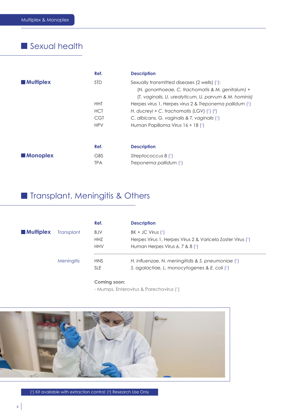# Sexual health

|                  | Ref.       | <b>Description</b>                                                                                                                                          |
|------------------|------------|-------------------------------------------------------------------------------------------------------------------------------------------------------------|
| <b>Multiplex</b> | <b>STD</b> | Sexually transmitted diseases (2 wells) (1):<br>(N. gonorrhoeae, C. trachomatis & M. genitalum) +<br>(T. vaginalis, U. urealyticum, U. parvum & M. hominis) |
|                  | <b>HHT</b> | Herpes virus 1, Herpes virus 2 & Treponema pallidum (1)                                                                                                     |
|                  | <b>HCT</b> | H. ducreyi + C. trachomatis (LGV) $(1)$ $(2)$                                                                                                               |
|                  | <b>CGT</b> | C. albicans, G. vaginalis & T. vaginalis (1)                                                                                                                |
|                  | <b>HPV</b> | Human Papilloma Virus $16 + 18$ (1)                                                                                                                         |
|                  | Ref.       | <b>Description</b>                                                                                                                                          |
| <b>Monoplex</b>  | <b>GBS</b> | Streptococcus B $(1)$                                                                                                                                       |
|                  | <b>TPA</b> | Treponema pallidum (1)                                                                                                                                      |

# Transplant, Meningitis & Others

|                  |                   | Ref.       | <b>Description</b>                                         |
|------------------|-------------------|------------|------------------------------------------------------------|
| <b>Multiplex</b> | <b>Transplant</b> | <b>BJV</b> | $BK + JC$ Virus $(1)$                                      |
|                  |                   | <b>HHZ</b> | Herpes Virus 1, Herpes Virus 2 & Varicela Zoster Virus (1) |
|                  |                   | <b>HHV</b> | Human Herpes Virus 6, 7 & 8 $(1)$                          |
|                  | <b>Meningitis</b> | <b>HNS</b> | H. influenzae, N. meningitidis & S. pneumoniae $(1)$       |
|                  |                   | <b>SLE</b> | S. agalactiae, L. monocytogenes & E. coli (1)              |
|                  |                   |            |                                                            |

#### Coming soon:

- Mumps, Enterovirus & Parechovirus (1)



(1) Kit available with extraction control; (2) Research Use Only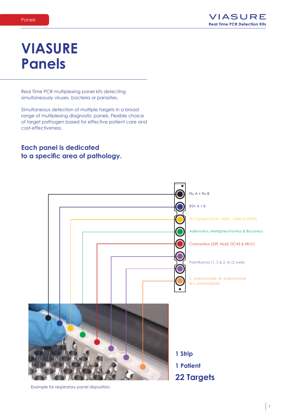# **VIASURE Panels**

Real Time PCR multiplexing panel kits detecting simultaneously viruses, bacteria or parasites.

Simultaneous detection of multiple targets in a broad range of multiplexing diagnostic panels. Flexible choice of target pathogen based for effective patient care and cost-effectiveness.

#### **Each panel is dedicated** to a specific area of pathology.



Example for respiratory panel disposition.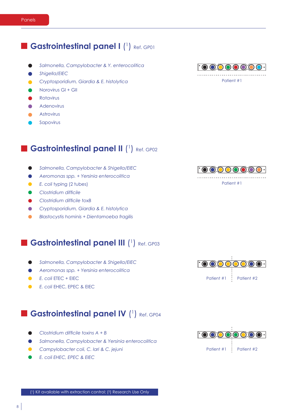8

#### **Expanding Castrointestinal panel I (1)** Ref. GP01

- *Salmonella, Campylobacter & Y. enterocolitica*
- *Shigella/EIEC*
- *Cryptosporidium, Giardia & E. histolytica*
- Norovirus GI + GII
- Rotavirus
- **Adenovirus**
- **Astrovirus**
- Sapovirus

#### **Bastrointestinal panel II (1)** Ref. GP02

- *Salmonella, Campylobacter & Shigella/EIEC*
- *Aeromonas spp. + Yersinia enterocolitica*
- **•** *E. coli typing (2 tubes)*
- **Clostridium difficile**
- **Clostridium difficile toxB**
- *Cryptosporidium, Giardia & E. histolytica*
- *Blastocystis hominis + Dientamoeba fragilis*

#### **Example: Castrointestinal panel III (1) Ref. GP03**

- *Salmonella, Campylobacter & Shigella/EIEC*  $\bullet$
- *Aeromonas spp. + Yersinia enterocolitica*
- *E. coli ETEC + EIEC*
- *E. coli EHEC, EPEC & EIEC*  $\bullet$

## **Expanding Castrointestinal panel IV (1) Ref. GP04**

- Clostridium difficile toxins A + B
- *Salmonella, Campylobacter & Yersinia enterocolitica*

 $\left( \begin{smallmatrix} 1 \end{smallmatrix} \right)$  Kit available with extraction control;  $\left( \begin{smallmatrix} 2 \end{smallmatrix} \right)$  Research Use Only

- *Campylobacter coli, C. lari & C. jejuni*
- *E. coli EHEC, EPEC & EIEC*



Patient #1



Patient #1



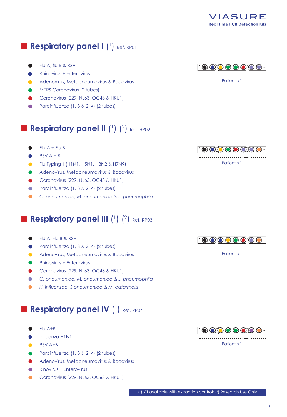## Respiratory panel I (1) Ref. RP01

- Flu A, flu B & RSV
- **Rhinovirus + Enterovirus**
- Adenovirus, Metapneumovirus & Bocavirus
- **MERS Coronavirus (2 tubes)**
- Coronavirus (229, NL63, OC43 & HKU1)
- Parainfluenza (1, 3 & 2, 4) (2 tubes)

## **Respiratory panel II**  $(^1)$   $(^2)$  Ref. RP02

- $Flu A + Flu B$ Ω.
- $RSV A + B$
- Flu Typing II (H1N1, H5N1, H3N2 & H7N9)
- Adenovirus, Metapneumovirus & Bocavirus
- Coronavirus (229, NL63, OC43 & HKU1)
- Parainfluenza (1, 3 & 2, 4) (2 tubes)  $\bullet$
- $\bullet$ C. pneumoniae, M. pneumoniae & L. pneumophila

## Respiratory panel III (1) (2) Ref. RP03

- Flu A, Flu B & RSV
- Parainfluenza (1, 3 & 2, 4) (2 tubes)
- Adenovirus, Metapneumovirus & Bocavirus
- **Rhinovirus + Enterovirus**
- Coronavirus (229, NL63, OC43 & HKU1)
- C. pneumoniae, M. pneumoniae & L. pneumophila  $\bullet$
- H. influenzae, S.pneumoniae & M. catarrhalis

## Respiratory panel IV (1) Ref. RP04

- $FlU A+B$
- Influenza H1N1
- RSV A+B
- Parainfluenza (1, 3 & 2, 4) (2 tubes)
- Adenovirus, Metapneumovirus & Bocavirus
- Rinovirus + Enterovirus
- Coronavirus (229, NL63, OC63 & HKU1)



Patient #1





Patient #1



Patient #1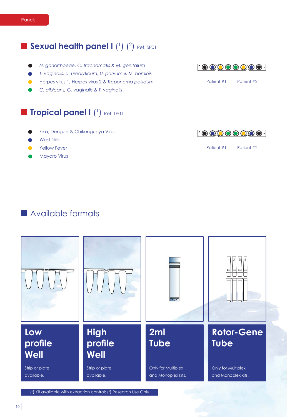#### **Sexual health panel I** (1) (2) Ref. SP01

- *N. gonorrhoeae, C. trachomatis & M. genitalum*
- *T. vaginalis, U. urealyticum, U. parvum & M. hominis*
- Herpes virus 1, Herpes virus 2 & Treponema pallidum
- *C. albicans, G. vaginalis & T. vaginalis*

#### **Tropical panel I** (1) Ref. TP01

- Zika, Dengue & Chikungunya Virus
- West Nile
- Yellow Fever
- Mayaro Virus



 $\left( \begin{smallmatrix} 1 \end{smallmatrix} \right)$  Kit available with extraction control;  $\left( \begin{smallmatrix} 2 \end{smallmatrix} \right)$  Research Use Only





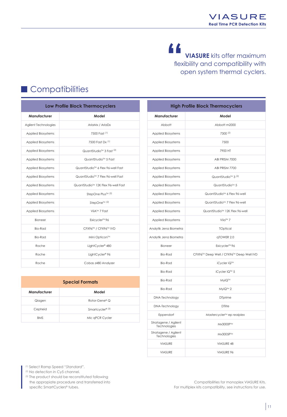#### " **VIASURE** kits offer maximum flexibility and compatibility with open system thermal cyclers.

# Compatibilities

| <b>Low Profile Block Thermocyclers</b> |                           |                                              |  |
|----------------------------------------|---------------------------|----------------------------------------------|--|
|                                        | Manufacturer              | Model                                        |  |
|                                        | Agilent Technologies      | AriaMx / AriaDx                              |  |
|                                        | <b>Applied Biosystems</b> | 7500 Fast <sup>(1)</sup>                     |  |
|                                        | <b>Applied Biosystems</b> | 7500 Fast Dx (1)                             |  |
|                                        | <b>Applied Biosystems</b> | QuantStudio™ 3 Fast (2)                      |  |
|                                        | <b>Applied Biosystems</b> | QuantStudio™ 5 Fast                          |  |
|                                        | <b>Applied Biosystems</b> | QuantStudio <sup>™</sup> 6 Flex 96-well Fast |  |
|                                        | <b>Applied Biosystems</b> | QuantStudio <sup>™</sup> 7 Flex 96-well Fast |  |
|                                        | <b>Applied Biosystems</b> | QuantStudio™ 12K Flex 96-well Fast           |  |
|                                        | <b>Applied Biosystems</b> | StepOne Plus™ (2)                            |  |
|                                        | <b>Applied Biosystems</b> | StepOne™ <sup>(2)</sup>                      |  |
|                                        | <b>Applied Biosystems</b> | ViiA™ 7 Fast                                 |  |
|                                        | <b>Bioneer</b>            | Exicycler <sup>™</sup> 96                    |  |
|                                        | <b>Bio-Rad</b>            | CFX96™ / CFX96™ IVD                          |  |
|                                        | Bio-Rad                   | Mini Opticon™                                |  |
|                                        | Roche                     | LightCycler <sup>®</sup> 480                 |  |
|                                        | Roche                     | LightCycler <sup>®</sup> 96                  |  |
|                                        | Roche                     | Cobas z480 Analyzer                          |  |

| <b>Special Formats</b> |                             |  |  |
|------------------------|-----------------------------|--|--|
| Manufacturer           | Model                       |  |  |
| Qiagen                 | Rotor-Gene® Q               |  |  |
| Cepheid                | Smartcycler® <sup>(3)</sup> |  |  |
| <b>BMS</b>             | Mic gPCR Cycler             |  |  |

|                                      | <b>High Profile Block Thermocyclers</b>   |
|--------------------------------------|-------------------------------------------|
| Manufacturer                         | Model                                     |
| Abbott                               | Abbott m2000                              |
| Applied Biosystems                   | 7300 (2)                                  |
| Applied Biosystems                   | 7500                                      |
| <b>Applied Biosystems</b>            | 7900 HT                                   |
| <b>Applied Biosystems</b>            | ABI PRISM 7000                            |
| <b>Applied Biosystems</b>            | ABI PRISM 7700                            |
| <b>Applied Biosystems</b>            | QuantStudio <sup>™</sup> 3 <sup>(2)</sup> |
| Applied Biosystems                   | QuantStudio <sup>™</sup> 5                |
| <b>Applied Biosystems</b>            | QuantStudio <sup>™</sup> 6 Flex 96-well   |
| Applied Biosystems                   | QuantStudio™ 7 Flex 96-well               |
| <b>Applied Biosystems</b>            | QuantStudio™ 12K Flex 96-well             |
| <b>Applied Biosystems</b>            | Viia™ 7                                   |
| Analytik Jena Biometra               | <b>TOptical</b>                           |
| Analytik Jena Biometra               | qTOWER 2.0                                |
| Bioneer                              | Exicycler <sup>™</sup> 96                 |
| <b>Bio-Rad</b>                       | CFX96™ Deep Well / CFX96™ Deep Well IVD   |
| <b>Bio-Rad</b>                       | iCycler iQ™                               |
| Bio-Rad                              | iCycler iQ™ 5                             |
| <b>Bio-Rad</b>                       | MyiQ™                                     |
| <b>Bio-Rad</b>                       | MyiQ™ 2                                   |
| DNA-Technology                       | <b>D</b> Tprime                           |
| DNA-Technology                       | <b>DTlite</b>                             |
| Eppendorf                            | Mastercycler™ ep realplex                 |
| Stratagene / Agilent<br>Technologies | Mx3000P™                                  |
| Stratagene / Agilent<br>Technologies | Mx3005P™                                  |
| <b>VIASURE</b>                       | VIASURE 48                                |
| <b>VIASURE</b>                       | VIASURE 96                                |

<sup>(1)</sup> Select Ramp Speed "Standard".

- (2) No detection in Cy5 channel.
- (3) The product should be reconstituted following the appropiate procedure and transferred into specific SmartCyclers® tubes.

Compatibilities for monoplex VIASURE Kits. For multiplex kits compatibility, see instructions for use.